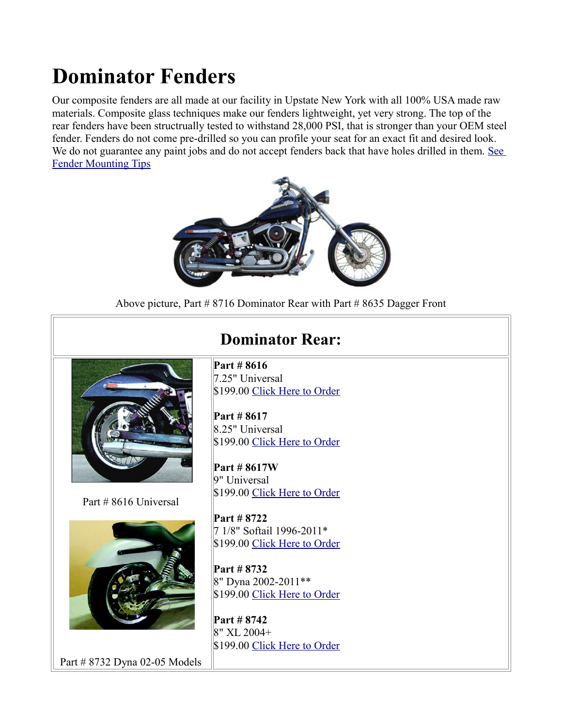## **Dominator Fenders**

Our composite fenders are all made at our facility in Upstate New York with all 100% USA made raw materials. Composite glass techniques make our fenders lightweight, yet very strong. The top of the rear fenders have been structrually tested to withstand 28,000 PSI, that is stronger than your OEM steel fender. Fenders do not come pre-drilled so you can profile your seat for an exact fit and desired look. We do not guarantee any paint jobs and do not accept fenders back that have holes drilled in them. See [Fender Mounting Tips](http://sumax.com/Instructions/Fender%20Mounting%20Tips.pdf)



Above picture, Part # 8716 Dominator Rear with Part # 8635 Dagger Front



Part # 8616 Universal



## **Dominator Rear:**

**Part # 8616** 7.25" Universal \$199.00 [Click Here to Order](http://sumax.stores.yahoo.net/725mountwidth5.html)

**Part # 8617** 8.25" Universal \$199.00 [Click Here to Order](http://sumax.stores.yahoo.net/825mountwidth6.html)

**Part # 8617W** 9" Universal \$199.00 [Click Here to Order](http://sumax.stores.yahoo.net/900mountwidth4.html)

**Part # 8722** 7 1/8" Softail 1996-2011\* \$199.00 [Click Here to Order](http://sumax.stores.yahoo.net/new20fxmo3.html)

**Part # 8732** 8" Dyna 2002-2011\*\* \$199.00 [Click Here to Order](http://sumax.stores.yahoo.net/new20dyfe2.html)

**Part # 8742** 8" XL 2004+ \$199.00 [Click Here to Order](http://sumax.stores.yahoo.net/nedoxl20.html)

Part # 8732 Dyna 02-05 Models